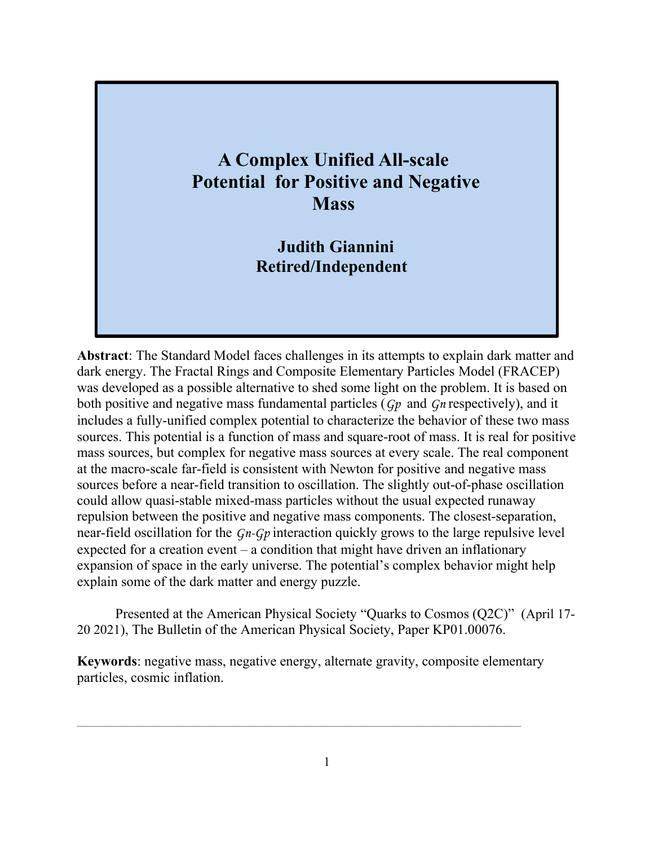#### **A Complex Unified All-scale Potential for Positive and Negative Mass**

**Judith Giannini Retired/Independent** 

**Abstract**: The Standard Model faces challenges in its attempts to explain dark matter and dark energy. The Fractal Rings and Composite Elementary Particles Model (FRACEP) was developed as a possible alternative to shed some light on the problem. It is based on both positive and negative mass fundamental particles (*Gp* and *Gn* respectively), and it includes a fully-unified complex potential to characterize the behavior of these two mass sources. This potential is a function of mass and square-root of mass. It is real for positive mass sources, but complex for negative mass sources at every scale. The real component at the macro-scale far-field is consistent with Newton for positive and negative mass sources before a near-field transition to oscillation. The slightly out-of-phase oscillation could allow quasi-stable mixed-mass particles without the usual expected runaway repulsion between the positive and negative mass components. The closest-separation, near-field oscillation for the *Gn-Gp* interaction quickly grows to the large repulsive level expected for a creation event – a condition that might have driven an inflationary expansion of space in the early universe. The potential's complex behavior might help explain some of the dark matter and energy puzzle.

Presented at the American Physical Society "Quarks to Cosmos (Q2C)" (April 17- 20 2021), The Bulletin of the American Physical Society, Paper KP01.00076.

**Keywords**: negative mass, negative energy, alternate gravity, composite elementary particles, cosmic inflation.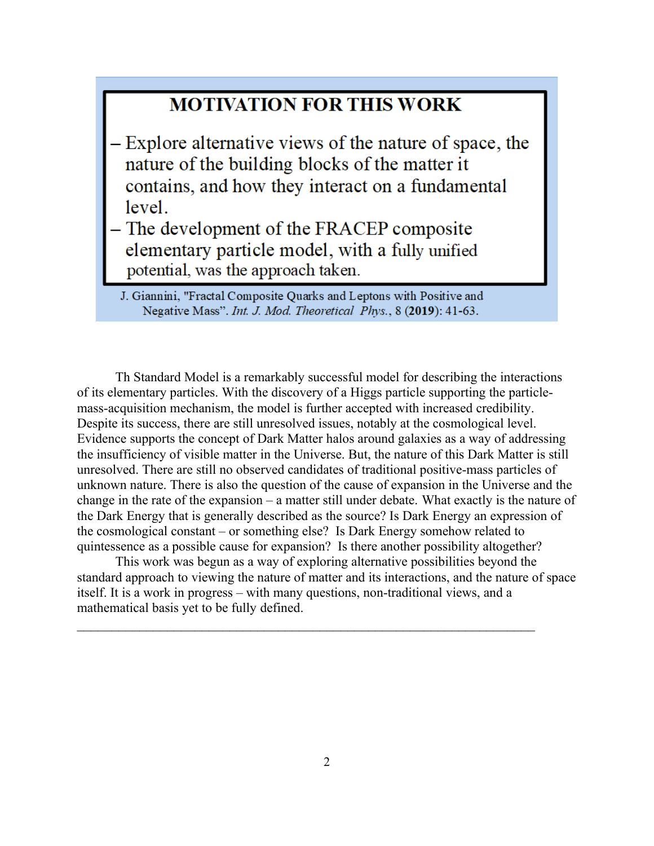#### **MOTIVATION FOR THIS WORK**

- Explore alternative views of the nature of space, the nature of the building blocks of the matter it contains, and how they interact on a fundamental level.
- The development of the FRACEP composite elementary particle model, with a fully unified potential, was the approach taken.

Th Standard Model is a remarkably successful model for describing the interactions of its elementary particles. With the discovery of a Higgs particle supporting the particlemass-acquisition mechanism, the model is further accepted with increased credibility. Despite its success, there are still unresolved issues, notably at the cosmological level. Evidence supports the concept of Dark Matter halos around galaxies as a way of addressing the insufficiency of visible matter in the Universe. But, the nature of this Dark Matter is still unresolved. There are still no observed candidates of traditional positive-mass particles of unknown nature. There is also the question of the cause of expansion in the Universe and the change in the rate of the expansion – a matter still under debate. What exactly is the nature of the Dark Energy that is generally described as the source? Is Dark Energy an expression of the cosmological constant – or something else? Is Dark Energy somehow related to quintessence as a possible cause for expansion? Is there another possibility altogether?

This work was begun as a way of exploring alternative possibilities beyond the standard approach to viewing the nature of matter and its interactions, and the nature of space itself. It is a work in progress – with many questions, non-traditional views, and a mathematical basis yet to be fully defined.

 $\mathcal{L}_\text{max} = \mathcal{L}_\text{max} = \mathcal{L}_\text{max} = \mathcal{L}_\text{max} = \mathcal{L}_\text{max} = \mathcal{L}_\text{max} = \mathcal{L}_\text{max} = \mathcal{L}_\text{max} = \mathcal{L}_\text{max} = \mathcal{L}_\text{max} = \mathcal{L}_\text{max} = \mathcal{L}_\text{max} = \mathcal{L}_\text{max} = \mathcal{L}_\text{max} = \mathcal{L}_\text{max} = \mathcal{L}_\text{max} = \mathcal{L}_\text{max} = \mathcal{L}_\text{max} = \mathcal{$ 

J. Giannini, "Fractal Composite Quarks and Leptons with Positive and Negative Mass". Int. J. Mod. Theoretical Phys., 8 (2019): 41-63.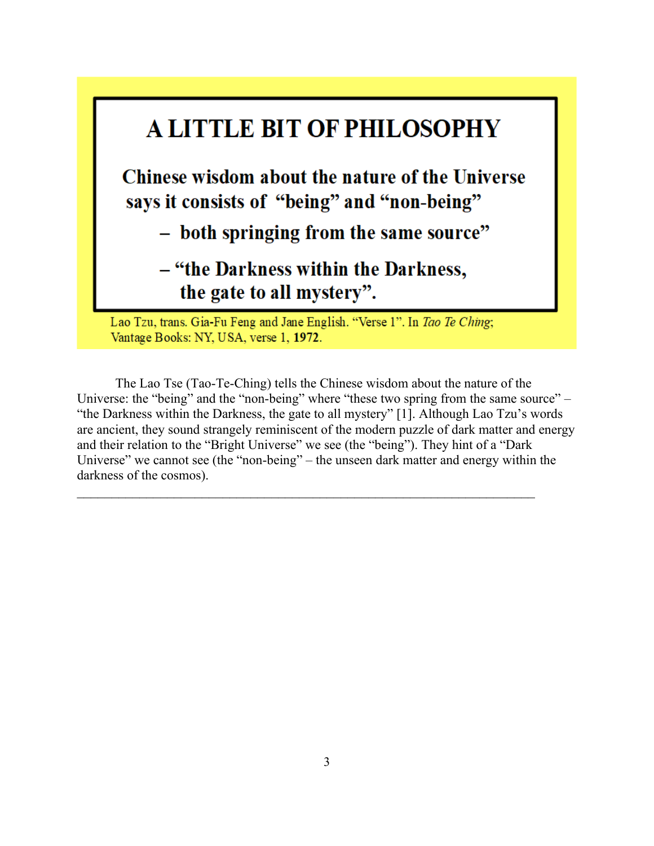

The Lao Tse (Tao-Te-Ching) tells the Chinese wisdom about the nature of the Universe: the "being" and the "non-being" where "these two spring from the same source" – "the Darkness within the Darkness, the gate to all mystery" [1]. Although Lao Tzu's words are ancient, they sound strangely reminiscent of the modern puzzle of dark matter and energy and their relation to the "Bright Universe" we see (the "being"). They hint of a "Dark Universe" we cannot see (the "non-being" – the unseen dark matter and energy within the darkness of the cosmos).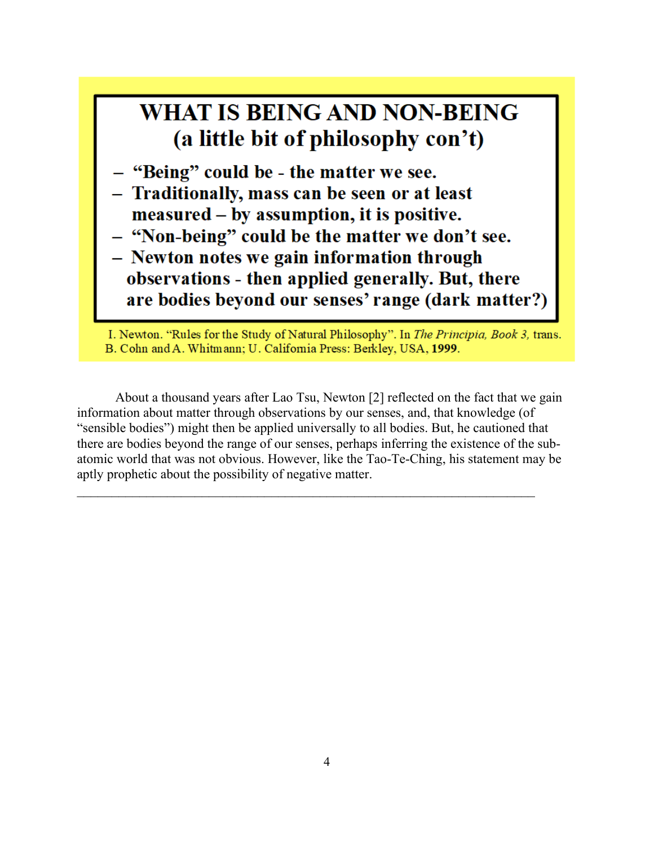

I. Newton. "Rules for the Study of Natural Philosophy". In The Principia, Book 3, trans. B. Cohn and A. Whitmann; U. California Press: Berkley, USA, 1999.

About a thousand years after Lao Tsu, Newton [2] reflected on the fact that we gain information about matter through observations by our senses, and, that knowledge (of "sensible bodies") might then be applied universally to all bodies. But, he cautioned that there are bodies beyond the range of our senses, perhaps inferring the existence of the subatomic world that was not obvious. However, like the Tao-Te-Ching, his statement may be aptly prophetic about the possibility of negative matter.

 $\mathcal{L}_\text{max}$  and  $\mathcal{L}_\text{max}$  and  $\mathcal{L}_\text{max}$  and  $\mathcal{L}_\text{max}$  and  $\mathcal{L}_\text{max}$  and  $\mathcal{L}_\text{max}$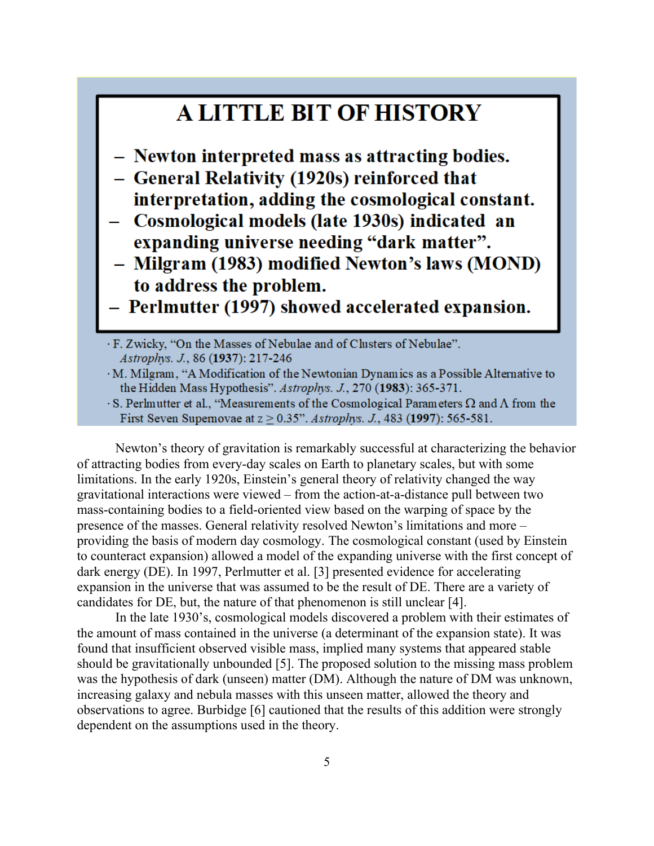### **A LITTLE BIT OF HISTORY**

- Newton interpreted mass as attracting bodies.
- General Relativity (1920s) reinforced that interpretation, adding the cosmological constant.
- Cosmological models (late 1930s) indicated an expanding universe needing "dark matter".
- Milgram (1983) modified Newton's laws (MOND) to address the problem.
- Perlmutter (1997) showed accelerated expansion.
- · F. Zwicky, "On the Masses of Nebulae and of Clusters of Nebulae". Astrophys. J., 86 (1937): 217-246
- · M. Milgram, "A Modification of the Newtonian Dynamics as a Possible Alternative to the Hidden Mass Hypothesis". Astrophys. J., 270 (1983): 365-371.
- $\cdot$  S. Perlmutter et al., "Measurements of the Cosmological Parameters  $\Omega$  and  $\Lambda$  from the First Seven Supernovae at  $z \ge 0.35$ ". Astrophys. J., 483 (1997): 565-581.

Newton's theory of gravitation is remarkably successful at characterizing the behavior of attracting bodies from every-day scales on Earth to planetary scales, but with some limitations. In the early 1920s, Einstein's general theory of relativity changed the way gravitational interactions were viewed – from the action-at-a-distance pull between two mass-containing bodies to a field-oriented view based on the warping of space by the presence of the masses. General relativity resolved Newton's limitations and more – providing the basis of modern day cosmology. The cosmological constant (used by Einstein to counteract expansion) allowed a model of the expanding universe with the first concept of dark energy (DE). In 1997, Perlmutter et al. [3] presented evidence for accelerating expansion in the universe that was assumed to be the result of DE. There are a variety of candidates for DE, but, the nature of that phenomenon is still unclear [4].

In the late 1930's, cosmological models discovered a problem with their estimates of the amount of mass contained in the universe (a determinant of the expansion state). It was found that insufficient observed visible mass, implied many systems that appeared stable should be gravitationally unbounded [5]. The proposed solution to the missing mass problem was the hypothesis of dark (unseen) matter (DM). Although the nature of DM was unknown, increasing galaxy and nebula masses with this unseen matter, allowed the theory and observations to agree. Burbidge [6] cautioned that the results of this addition were strongly dependent on the assumptions used in the theory.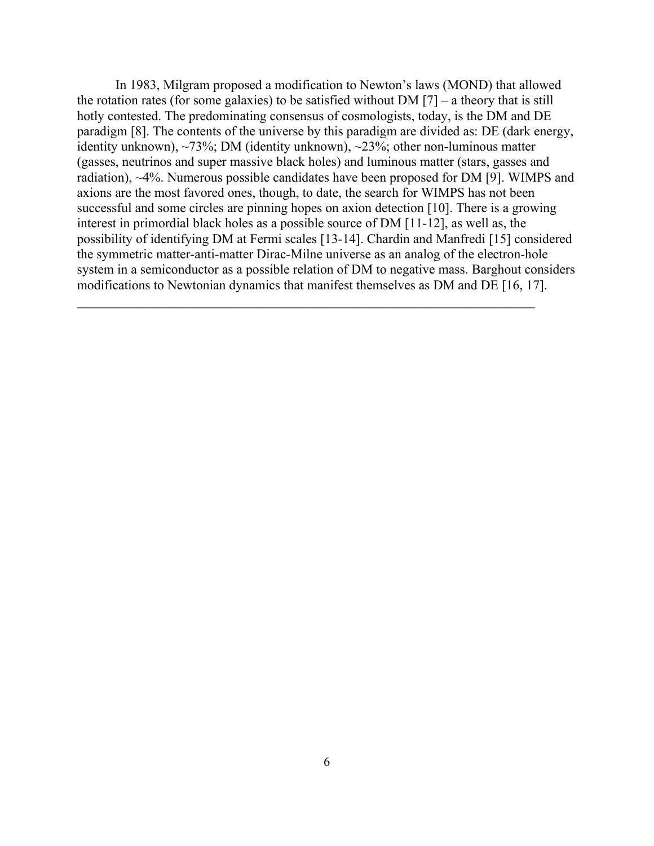In 1983, Milgram proposed a modification to Newton's laws (MOND) that allowed the rotation rates (for some galaxies) to be satisfied without DM  $[7]$  – a theory that is still hotly contested. The predominating consensus of cosmologists, today, is the DM and DE paradigm [8]. The contents of the universe by this paradigm are divided as: DE (dark energy, identity unknown), ~73%; DM (identity unknown), ~23%; other non-luminous matter (gasses, neutrinos and super massive black holes) and luminous matter (stars, gasses and radiation), ~4%. Numerous possible candidates have been proposed for DM [9]. WIMPS and axions are the most favored ones, though, to date, the search for WIMPS has not been successful and some circles are pinning hopes on axion detection [10]. There is a growing interest in primordial black holes as a possible source of DM [11-12], as well as, the possibility of identifying DM at Fermi scales [13-14]. Chardin and Manfredi [15] considered the symmetric matter-anti-matter Dirac-Milne universe as an analog of the electron-hole system in a semiconductor as a possible relation of DM to negative mass. Barghout considers modifications to Newtonian dynamics that manifest themselves as DM and DE [16, 17].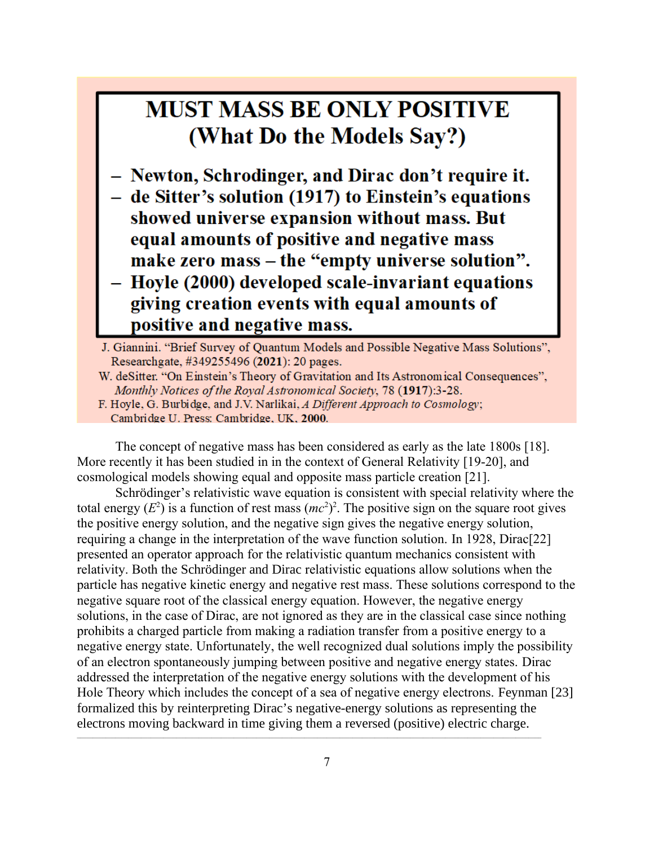## **MUST MASS BE ONLY POSITIVE** (What Do the Models Say?)

- Newton, Schrodinger, and Dirac don't require it.
- de Sitter's solution (1917) to Einstein's equations showed universe expansion without mass. But equal amounts of positive and negative mass make zero mass – the "empty universe solution". - Hoyle (2000) developed scale-invariant equations giving creation events with equal amounts of
	- positive and negative mass.

J. Giannini. "Brief Survey of Quantum Models and Possible Negative Mass Solutions", Researchgate, #349255496 (2021): 20 pages.

- W. deSitter. "On Einstein's Theory of Gravitation and Its Astronomical Consequences", Monthly Notices of the Royal Astronomical Society, 78 (1917):3-28.
- F. Hoyle, G. Burbidge, and J.V. Narlikai, A Different Approach to Cosmology; Cambridge U. Press: Cambridge, UK, 2000.

The concept of negative mass has been considered as early as the late 1800s [18]. More recently it has been studied in in the context of General Relativity [19-20], and cosmological models showing equal and opposite mass particle creation [21].

Schrödinger's relativistic wave equation is consistent with special relativity where the total energy  $(E^2)$  is a function of rest mass  $(mc^2)^2$ . The positive sign on the square root gives the positive energy solution, and the negative sign gives the negative energy solution, requiring a change in the interpretation of the wave function solution. In 1928, Dirac[22] presented an operator approach for the relativistic quantum mechanics consistent with relativity. Both the Schrödinger and Dirac relativistic equations allow solutions when the particle has negative kinetic energy and negative rest mass. These solutions correspond to the negative square root of the classical energy equation. However, the negative energy solutions, in the case of Dirac, are not ignored as they are in the classical case since nothing prohibits a charged particle from making a radiation transfer from a positive energy to a negative energy state. Unfortunately, the well recognized dual solutions imply the possibility of an electron spontaneously jumping between positive and negative energy states. Dirac addressed the interpretation of the negative energy solutions with the development of his Hole Theory which includes the concept of a sea of negative energy electrons. Feynman [23] formalized this by reinterpreting Dirac's negative-energy solutions as representing the electrons moving backward in time giving them a reversed (positive) electric charge.

 $\mathcal{L}_\mathcal{L} = \mathcal{L}_\mathcal{L} = \mathcal{L}_\mathcal{L} = \mathcal{L}_\mathcal{L} = \mathcal{L}_\mathcal{L} = \mathcal{L}_\mathcal{L} = \mathcal{L}_\mathcal{L} = \mathcal{L}_\mathcal{L} = \mathcal{L}_\mathcal{L} = \mathcal{L}_\mathcal{L} = \mathcal{L}_\mathcal{L} = \mathcal{L}_\mathcal{L} = \mathcal{L}_\mathcal{L} = \mathcal{L}_\mathcal{L} = \mathcal{L}_\mathcal{L} = \mathcal{L}_\mathcal{L} = \mathcal{L}_\mathcal{L}$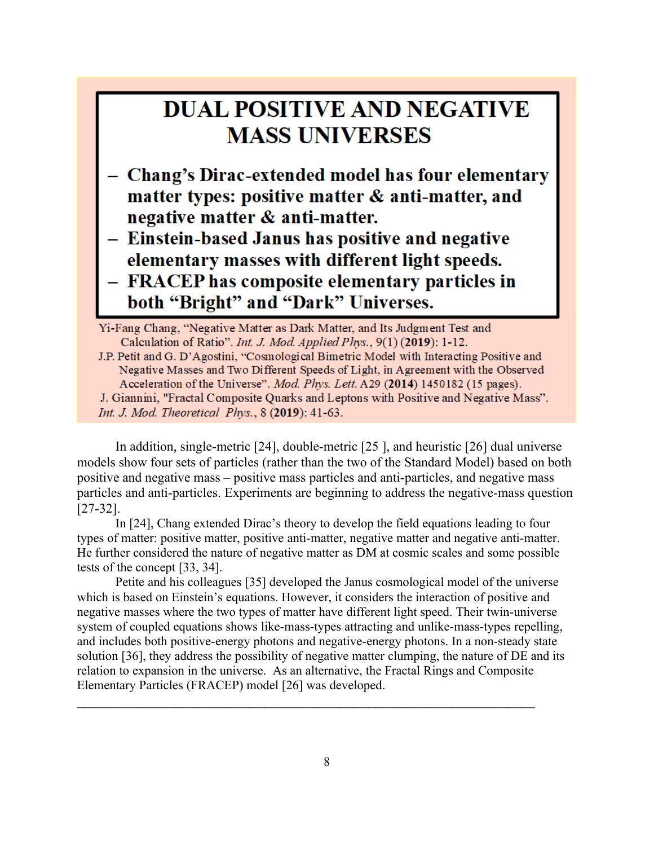## **DUAL POSITIVE AND NEGATIVE MASS UNIVERSES**

- Chang's Dirac-extended model has four elementary matter types: positive matter & anti-matter, and negative matter & anti-matter.
- Einstein-based Janus has positive and negative elementary masses with different light speeds. - FRACEP has composite elementary particles in both "Bright" and "Dark" Universes.

Yi-Fang Chang, "Negative Matter as Dark Matter, and Its Judgment Test and Calculation of Ratio". Int. J. Mod. Applied Phys., 9(1) (2019): 1-12. J.P. Petit and G. D'Agostini, "Cosmological Bimetric Model with Interacting Positive and Negative Masses and Two Different Speeds of Light, in Agreement with the Observed Acceleration of the Universe". Mod. Phys. Lett. A29 (2014) 1450182 (15 pages). J. Giannini, "Fractal Composite Quarks and Leptons with Positive and Negative Mass". Int. J. Mod. Theoretical Phys., 8 (2019): 41-63.

In addition, single-metric [24], double-metric [25 ], and heuristic [26] dual universe models show four sets of particles (rather than the two of the Standard Model) based on both positive and negative mass – positive mass particles and anti-particles, and negative mass particles and anti-particles. Experiments are beginning to address the negative-mass question [27-32].

In [24], Chang extended Dirac's theory to develop the field equations leading to four types of matter: positive matter, positive anti-matter, negative matter and negative anti-matter. He further considered the nature of negative matter as DM at cosmic scales and some possible tests of the concept [33, 34].

Petite and his colleagues [35] developed the Janus cosmological model of the universe which is based on Einstein's equations. However, it considers the interaction of positive and negative masses where the two types of matter have different light speed. Their twin-universe system of coupled equations shows like-mass-types attracting and unlike-mass-types repelling, and includes both positive-energy photons and negative-energy photons. In a non-steady state solution [36], they address the possibility of negative matter clumping, the nature of DE and its relation to expansion in the universe. As an alternative, the Fractal Rings and Composite Elementary Particles (FRACEP) model [26] was developed.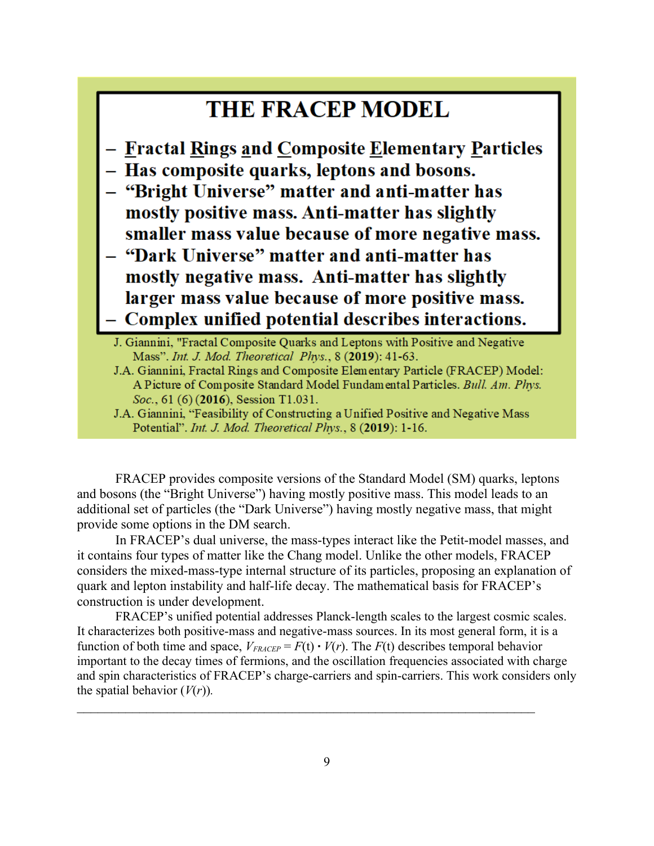#### **THE FRACEP MODEL**

- Fractal Rings and Composite Elementary Particles
- Has composite quarks, leptons and bosons.
- "Bright Universe" matter and anti-matter has mostly positive mass. Anti-matter has slightly smaller mass value because of more negative mass.
- "Dark Universe" matter and anti-matter has mostly negative mass. Anti-matter has slightly larger mass value because of more positive mass. - Complex unified potential describes interactions.
	- J. Giannini, "Fractal Composite Quarks and Leptons with Positive and Negative Mass". Int. J. Mod. Theoretical Phys., 8 (2019): 41-63.
	- J.A. Giannini, Fractal Rings and Composite Elementary Particle (FRACEP) Model: A Picture of Composite Standard Model Fundamental Particles. Bull. Am. Phys. Soc., 61 (6) (2016), Session T1.031.
	- J.A. Giannini, "Feasibility of Constructing a Unified Positive and Negative Mass Potential". Int. J. Mod. Theoretical Phys., 8 (2019): 1-16.

FRACEP provides composite versions of the Standard Model (SM) quarks, leptons and bosons (the "Bright Universe") having mostly positive mass. This model leads to an additional set of particles (the "Dark Universe") having mostly negative mass, that might provide some options in the DM search.

In FRACEP's dual universe, the mass-types interact like the Petit-model masses, and it contains four types of matter like the Chang model. Unlike the other models, FRACEP considers the mixed-mass-type internal structure of its particles, proposing an explanation of quark and lepton instability and half-life decay. The mathematical basis for FRACEP's construction is under development.

FRACEP's unified potential addresses Planck-length scales to the largest cosmic scales. It characterizes both positive-mass and negative-mass sources. In its most general form, it is a function of both time and space,  $V_{FRACEP} = F(t) \cdot V(r)$ . The  $F(t)$  describes temporal behavior important to the decay times of fermions, and the oscillation frequencies associated with charge and spin characteristics of FRACEP's charge-carriers and spin-carriers. This work considers only the spatial behavior  $(V(r))$ .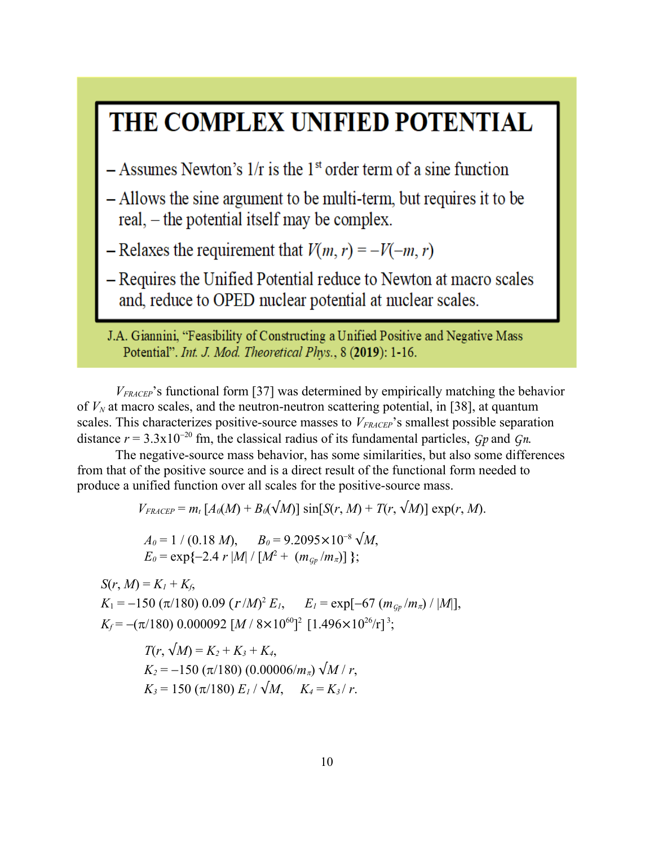# THE COMPLEX UNIFIED POTENTIAL

 $-$  Assumes Newton's 1/r is the 1<sup>st</sup> order term of a sine function

- Allows the sine argument to be multi-term, but requires it to be real, – the potential itself may be complex.

- Relaxes the requirement that  $V(m, r) = -V(-m, r)$ 

- Requires the Unified Potential reduce to Newton at macro scales and, reduce to OPED nuclear potential at nuclear scales.

J.A. Giannini, "Feasibility of Constructing a Unified Positive and Negative Mass Potential". Int. J. Mod. Theoretical Phys., 8 (2019): 1-16.

*VFRACEP*'s functional form [37] was determined by empirically matching the behavior of  $V_N$  at macro scales, and the neutron-neutron scattering potential, in [38], at quantum scales. This characterizes positive-source masses to  $V_{FRACEP}$ 's smallest possible separation distance  $r = 3.3x10^{-20}$  fm, the classical radius of its fundamental particles, *Gp* and *Gn*.

The negative-source mass behavior, has some similarities, but also some differences from that of the positive source and is a direct result of the functional form needed to produce a unified function over all scales for the positive-source mass.

 $V_{FRACEP} = m_t [A_0(M) + B_0(\sqrt{M})] \sin[S(r, M) + T(r, \sqrt{M})] \exp(r, M).$ 

 $A_0 = 1 / (0.18 M)$ ,  $B_0 = 9.2095 \times 10^{-8} \sqrt{M}$ ,  $E_0 = \exp\{-2.4 r |M| / [M^2 + (m_{G_P}/m_\pi)]\};$ 

*S*(*r*, *M*) =  $K_1 + K_6$ ,  $K_1 = -150 \left( \frac{\pi}{180} \right) 0.09 \left( \frac{r}{M} \right)^2 E_I, \quad E_I = \exp[-67 \left( \frac{m_{Sp}}{m_A} \right) / |M|],$  $K_f = -(\pi/180)$  0.000092 [*M* /  $8 \times 10^{60}$ ]<sup>2</sup> [1.496×10<sup>26</sup>/r]<sup>3</sup>;

> $T(r, \sqrt{M}) = K_2 + K_3 + K_4$  $K_2 = -150 \left( \frac{\pi}{180} \right) (0.00006/m_\pi) \sqrt{M/r}$  $K_3 = 150 \left( \frac{\pi}{180} \right) E_I / \sqrt{M}$ ,  $K_4 = K_3 / r$ .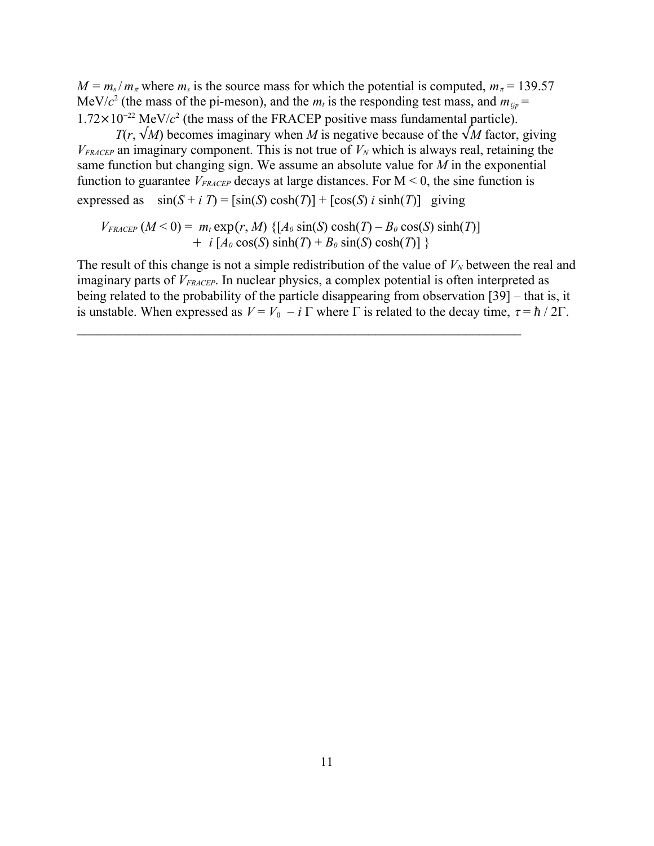$M = m_s/m_\pi$  where  $m_s$  is the source mass for which the potential is computed,  $m_\pi = 139.57$ MeV/ $c^2$  (the mass of the pi-meson), and the  $m_t$  is the responding test mass, and  $m_{GP} =$  $1.72 \times 10^{-22}$  MeV/ $c^2$  (the mass of the FRACEP positive mass fundamental particle).

*T*(*r*,  $\sqrt{M}$ ) becomes imaginary when *M* is negative because of the  $\sqrt{M}$  factor, giving  $V_{FRACEP}$  an imaginary component. This is not true of  $V_N$  which is always real, retaining the same function but changing sign. We assume an absolute value for *M* in the exponential function to guarantee  $V_{FRACEP}$  decays at large distances. For  $M < 0$ , the sine function is expressed as  $\sin(S + i T) = [\sin(S) \cosh(T)] + [\cos(S) i \sinh(T)]$  giving

$$
V_{FRACEP} (M<0) = m_t \exp(r, M) \{ [A_0 \sin(S) \cosh(T) - B_0 \cos(S) \sinh(T) ] + i [A_0 \cos(S) \sinh(T) + B_0 \sin(S) \cosh(T) ] \}
$$

The result of this change is not a simple redistribution of the value of  $V_N$  between the real and imaginary parts of *VFRACEP*. In nuclear physics, a complex potential is often interpreted as being related to the probability of the particle disappearing from observation [39] – that is, it is unstable. When expressed as  $V = V_0 - i \Gamma$  where  $\Gamma$  is related to the decay time,  $\tau = \hbar / 2\Gamma$ .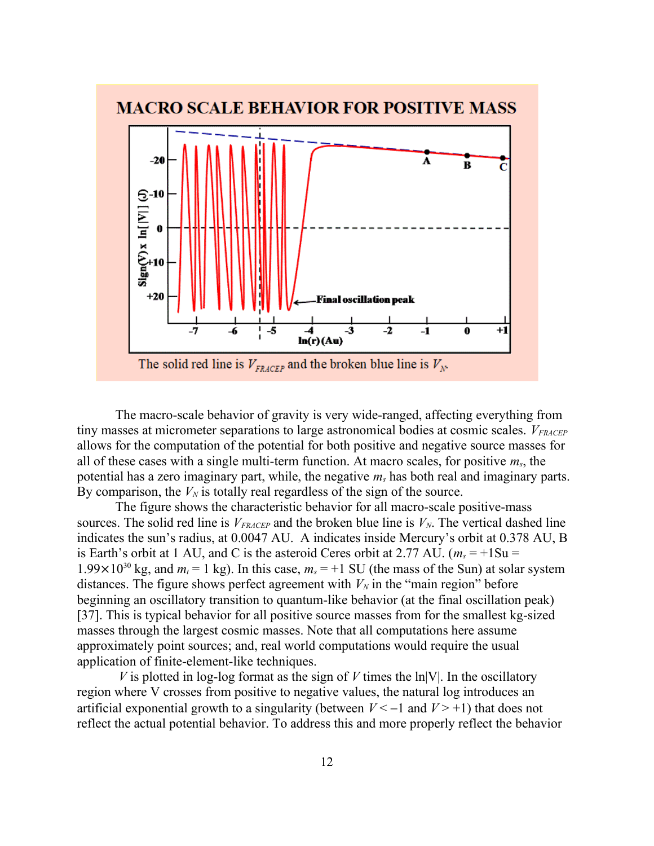

The macro-scale behavior of gravity is very wide-ranged, affecting everything from tiny masses at micrometer separations to large astronomical bodies at cosmic scales. *VFRACEP* allows for the computation of the potential for both positive and negative source masses for all of these cases with a single multi-term function. At macro scales, for positive *ms*, the potential has a zero imaginary part, while, the negative *ms* has both real and imaginary parts. By comparison, the  $V_N$  is totally real regardless of the sign of the source.

The figure shows the characteristic behavior for all macro-scale positive-mass sources. The solid red line is  $V_{FRACEP}$  and the broken blue line is  $V_N$ . The vertical dashed line indicates the sun's radius, at 0.0047 AU. A indicates inside Mercury's orbit at 0.378 AU, B is Earth's orbit at 1 AU, and C is the asteroid Ceres orbit at 2.77 AU. ( $m_s = +1$ Su = 1.99×10<sup>30</sup> kg, and  $m_t = 1$  kg). In this case,  $m_s = +1$  SU (the mass of the Sun) at solar system distances. The figure shows perfect agreement with  $V_N$  in the "main region" before beginning an oscillatory transition to quantum-like behavior (at the final oscillation peak) [37]. This is typical behavior for all positive source masses from for the smallest kg-sized masses through the largest cosmic masses. Note that all computations here assume approximately point sources; and, real world computations would require the usual application of finite-element-like techniques.

*V* is plotted in log-log format as the sign of *V* times the  $ln|V|$ . In the oscillatory region where V crosses from positive to negative values, the natural log introduces an artificial exponential growth to a singularity (between  $V < -1$  and  $V > +1$ ) that does not reflect the actual potential behavior. To address this and more properly reflect the behavior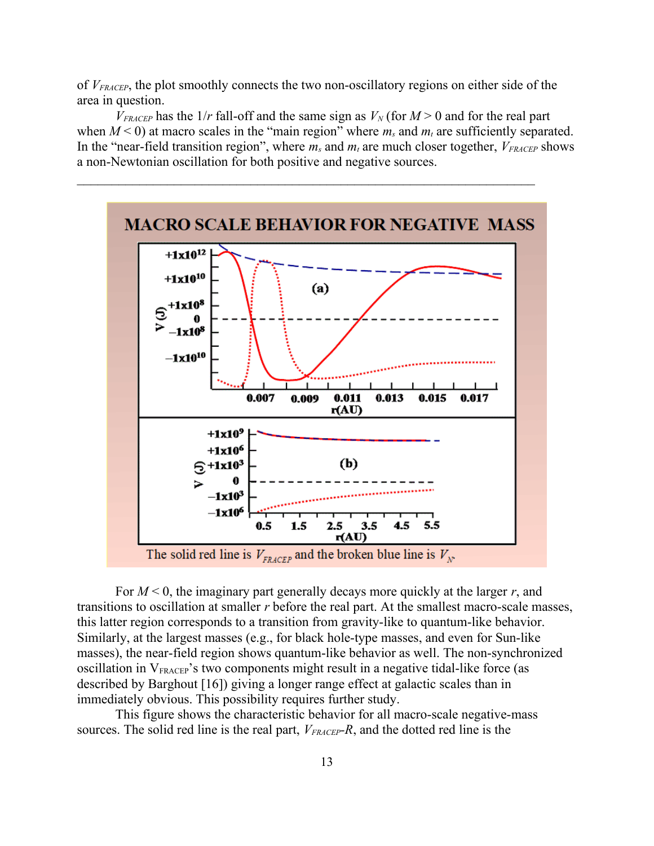of *VFRACEP*, the plot smoothly connects the two non-oscillatory regions on either side of the area in question.

 $V_{FRACEP}$  has the  $1/r$  fall-off and the same sign as  $V_N$  (for  $M > 0$  and for the real part when  $M < 0$ ) at macro scales in the "main region" where  $m_s$  and  $m_t$  are sufficiently separated. In the "near-field transition region", where  $m_s$  and  $m_t$  are much closer together,  $V_{FRACEP}$  shows a non-Newtonian oscillation for both positive and negative sources.



For *M* < 0, the imaginary part generally decays more quickly at the larger *r*, and transitions to oscillation at smaller *r* before the real part. At the smallest macro-scale masses, this latter region corresponds to a transition from gravity-like to quantum-like behavior. Similarly, at the largest masses (e.g., for black hole-type masses, and even for Sun-like masses), the near-field region shows quantum-like behavior as well. The non-synchronized oscillation in  $V_{\text{FRACEP}}$ 's two components might result in a negative tidal-like force (as described by Barghout [16]) giving a longer range effect at galactic scales than in immediately obvious. This possibility requires further study.

This figure shows the characteristic behavior for all macro-scale negative-mass sources. The solid red line is the real part, *VFRACEP-R*, and the dotted red line is the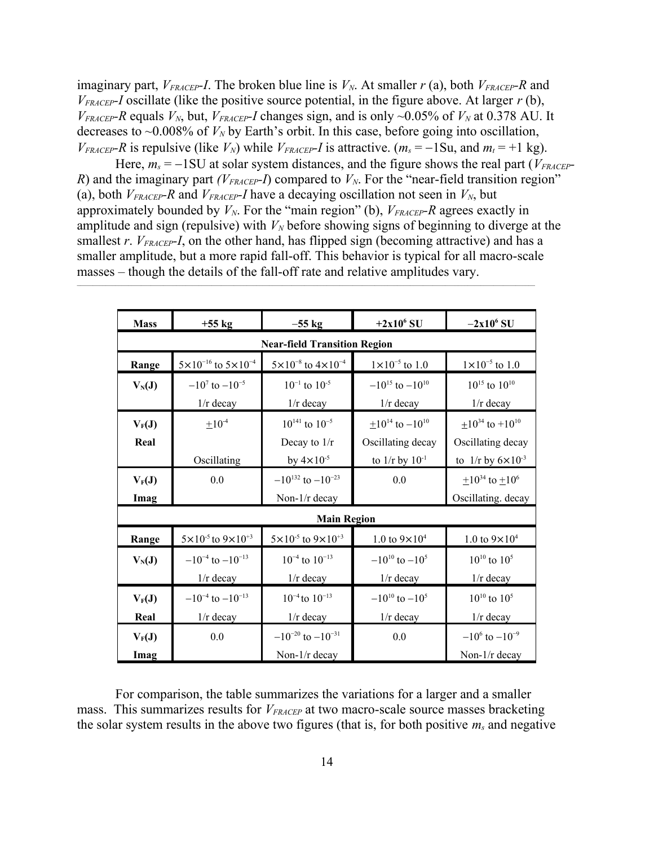imaginary part, *VFRACEP-I*. The broken blue line is *VN*. At smaller *r* (a), both *VFRACEP-R* and  $V_{\text{FRACEP}}$ *I* oscillate (like the positive source potential, in the figure above. At larger  $r$  (b), *V*<sub>FRACEP</sub>-R<sup></sup> equals *V<sub>N</sub>*, but, *V*<sub>FRACEP</sub>-I<sup></sup> changes sign, and is only ~0.05% of *V<sub>N</sub>* at 0.378 AU. It decreases to  $\sim 0.008\%$  of  $V_N$  by Earth's orbit. In this case, before going into oscillation, *V*<sub>FRACEP</sub>-R is repulsive (like  $V_N$ ) while  $V_{FRACEP}$ -*I* is attractive. ( $m_s = -1$ Su, and  $m_t = +1$  kg).

Here,  $m_s = -1$  SU at solar system distances, and the figure shows the real part ( $V_{FRACEP}$ -*R*) and the imaginary part *(V<sub>FRACEP</sub>*-*I*) compared to  $V_N$ . For the "near-field transition region" (a), both  $V_{FRACEP}$ *-R* and  $V_{FRACEP}$ *-I* have a decaying oscillation not seen in  $V_N$ , but approximately bounded by  $V_N$ . For the "main region" (b),  $V_{FRACEP}$ -R agrees exactly in amplitude and sign (repulsive) with  $V_N$  before showing signs of beginning to diverge at the smallest *r*. *V*<sub>FRACEP</sub>-*I*, on the other hand, has flipped sign (becoming attractive) and has a smaller amplitude, but a more rapid fall-off. This behavior is typical for all macro-scale masses – though the details of the fall-off rate and relative amplitudes vary.

 $\mathcal{L}_\mathcal{L} = \mathcal{L}_\mathcal{L} = \mathcal{L}_\mathcal{L} = \mathcal{L}_\mathcal{L} = \mathcal{L}_\mathcal{L} = \mathcal{L}_\mathcal{L} = \mathcal{L}_\mathcal{L} = \mathcal{L}_\mathcal{L} = \mathcal{L}_\mathcal{L} = \mathcal{L}_\mathcal{L} = \mathcal{L}_\mathcal{L} = \mathcal{L}_\mathcal{L} = \mathcal{L}_\mathcal{L} = \mathcal{L}_\mathcal{L} = \mathcal{L}_\mathcal{L} = \mathcal{L}_\mathcal{L} = \mathcal{L}_\mathcal{L}$ 

| <b>Mass</b>                         | $+55$ kg                                  | $-55$ kg                                                           | $+2x10^6$ SU                                                           | $-2x10^6$ SU                                                                    |
|-------------------------------------|-------------------------------------------|--------------------------------------------------------------------|------------------------------------------------------------------------|---------------------------------------------------------------------------------|
| <b>Near-field Transition Region</b> |                                           |                                                                    |                                                                        |                                                                                 |
| Range                               | $5 \times 10^{-16}$ to $5 \times 10^{-4}$ | $5 \times 10^{-8}$ to $4 \times 10^{-4}$                           | $1 \times 10^{-5}$ to 1.0                                              | $1 \times 10^{-5}$ to 1.0                                                       |
| $V_N(J)$                            | $-10^7$ to $-10^{-5}$<br>$1/r$ decay      | $10^{-1}$ to $10^{-5}$<br>$1/r$ decay                              | $-10^{15}$ to $-10^{10}$<br>$1/r$ decay                                | $10^{15}$ to $10^{10}$<br>$1/r$ decay                                           |
| $V_F(J)$<br>Real                    | $\pm 10^{-4}$<br>Oscillating              | $10^{141}$ to $10^{-5}$<br>Decay to $1/r$<br>by $4 \times 10^{-5}$ | $+10^{14}$ to $-10^{10}$<br>Oscillating decay<br>to $1/r$ by $10^{-1}$ | $+10^{34}$ to $+10^{10}$<br>Oscillating decay<br>to $1/r$ by $6 \times 10^{-3}$ |
| $V_F(J)$<br>Imag                    | 0.0                                       | $-10^{132}$ to $-10^{-23}$<br>Non-1/r decay                        | 0.0                                                                    | $\pm 10^{34}$ to $\pm 10^6$<br>Oscillating. decay                               |
| <b>Main Region</b>                  |                                           |                                                                    |                                                                        |                                                                                 |
| Range                               | $5 \times 10^{-5}$ to $9 \times 10^{+3}$  | $5 \times 10^{-5}$ to $9 \times 10^{+3}$                           | 1.0 to $9 \times 10^4$                                                 | 1.0 to $9 \times 10^4$                                                          |
| $V_N(J)$                            | $-10^{-4}$ to $-10^{-13}$<br>$1/r$ decay  | $10^{-4}$ to $10^{-13}$<br>$1/r$ decay                             | $-10^{10}$ to $-10^{5}$<br>$1/r$ decay                                 | $10^{10}$ to $10^5$<br>$1/r$ decay                                              |
| $V_F(J)$<br>Real                    | $-10^{-4}$ to $-10^{-13}$<br>$1/r$ decay  | $10^{-4}$ to $10^{-13}$<br>$1/r$ decay                             | $-10^{10}$ to $-10^{5}$<br>$1/r$ decay                                 | $10^{10}$ to $10^5$<br>$1/r$ decay                                              |
| $V_F(J)$<br>Imag                    | 0.0                                       | $-10^{-20}$ to $-10^{-31}$<br>Non- $1/r$ decay                     | 0.0                                                                    | $-10^6$ to $-10^{-9}$<br>Non-1/r decay                                          |

For comparison, the table summarizes the variations for a larger and a smaller mass. This summarizes results for  $V_{FRACEP}$  at two macro-scale source masses bracketing the solar system results in the above two figures (that is, for both positive *ms* and negative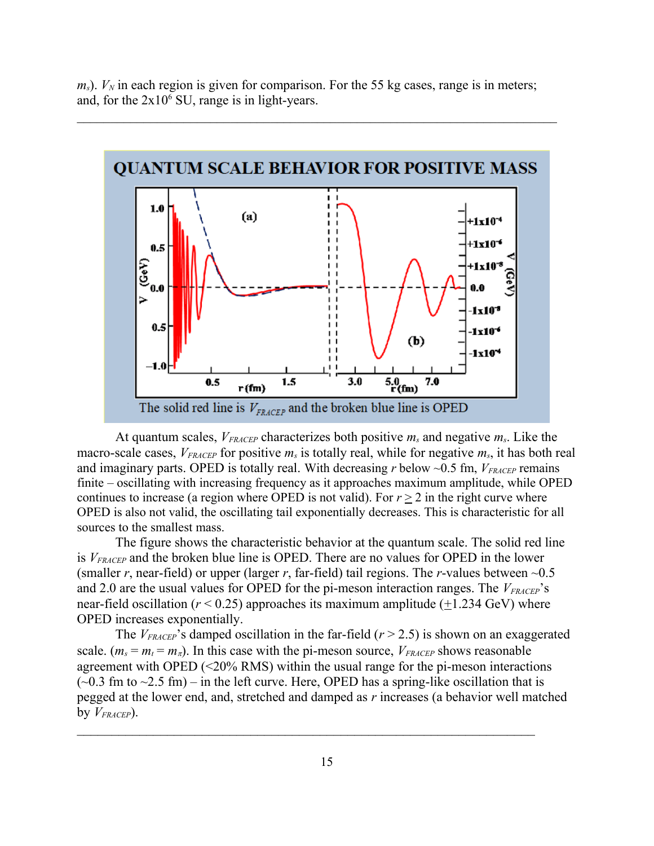$m<sub>s</sub>$ ).  $V<sub>N</sub>$  in each region is given for comparison. For the 55 kg cases, range is in meters; and, for the  $2x10^6$  SU, range is in light-years.



At quantum scales, *VFRACEP* characterizes both positive *ms* and negative *ms*. Like the macro-scale cases, *VFRACEP* for positive *ms* is totally real, while for negative *ms*, it has both real and imaginary parts. OPED is totally real. With decreasing  $r$  below  $\sim 0.5$  fm,  $V_{FRACEP}$  remains finite – oscillating with increasing frequency as it approaches maximum amplitude, while OPED continues to increase (a region where OPED is not valid). For  $r \geq 2$  in the right curve where OPED is also not valid, the oscillating tail exponentially decreases. This is characteristic for all sources to the smallest mass.

The figure shows the characteristic behavior at the quantum scale. The solid red line is *VFRACEP* and the broken blue line is OPED. There are no values for OPED in the lower (smaller *r*, near-field) or upper (larger *r*, far-field) tail regions. The *r*-values between ~0.5 and 2.0 are the usual values for OPED for the pi-meson interaction ranges. The  $V_{FRACEP}$ 's near-field oscillation ( $r$  < 0.25) approaches its maximum amplitude ( $\pm$ 1.234 GeV) where OPED increases exponentially.

The  $V_{FRACEP}$ 's damped oscillation in the far-field ( $r > 2.5$ ) is shown on an exaggerated scale.  $(m_s = m_t = m_{\pi})$ . In this case with the pi-meson source,  $V_{FRACEP}$  shows reasonable agreement with OPED (<20% RMS) within the usual range for the pi-meson interactions  $(-0.3$  fm to  $-2.5$  fm) – in the left curve. Here, OPED has a spring-like oscillation that is pegged at the lower end, and, stretched and damped as *r* increases (a behavior well matched by  $V_{FRACEP}$ ).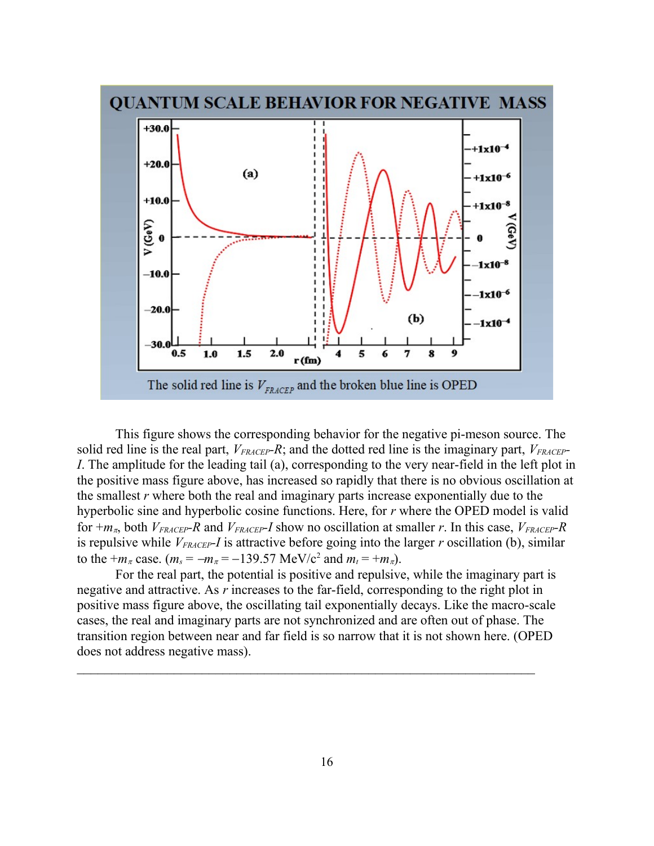

This figure shows the corresponding behavior for the negative pi-meson source. The solid red line is the real part, *VFRACEP-R*; and the dotted red line is the imaginary part, *VFRACEP-I*. The amplitude for the leading tail (a), corresponding to the very near-field in the left plot in the positive mass figure above, has increased so rapidly that there is no obvious oscillation at the smallest *r* where both the real and imaginary parts increase exponentially due to the hyperbolic sine and hyperbolic cosine functions. Here, for *r* where the OPED model is valid for  $+m_{\pi}$ , both  $V_{FRACEP}$ *-R* and  $V_{FRACEP}$ *-I* show no oscillation at smaller *r*. In this case,  $V_{FRACEP}$ *-R* is repulsive while *VFRACEP-I* is attractive before going into the larger *r* oscillation (b), similar to the  $+m_{\pi}$  case.  $(m_{s} = -m_{\pi} = -139.57 \text{ MeV}/c^2$  and  $m_{t} = +m_{\pi}$ ).

For the real part, the potential is positive and repulsive, while the imaginary part is negative and attractive. As *r* increases to the far-field, corresponding to the right plot in positive mass figure above, the oscillating tail exponentially decays. Like the macro-scale cases, the real and imaginary parts are not synchronized and are often out of phase. The transition region between near and far field is so narrow that it is not shown here. (OPED does not address negative mass).

 $\mathcal{L}_\text{max} = \mathcal{L}_\text{max} = \mathcal{L}_\text{max} = \mathcal{L}_\text{max} = \mathcal{L}_\text{max} = \mathcal{L}_\text{max} = \mathcal{L}_\text{max} = \mathcal{L}_\text{max} = \mathcal{L}_\text{max} = \mathcal{L}_\text{max} = \mathcal{L}_\text{max} = \mathcal{L}_\text{max} = \mathcal{L}_\text{max} = \mathcal{L}_\text{max} = \mathcal{L}_\text{max} = \mathcal{L}_\text{max} = \mathcal{L}_\text{max} = \mathcal{L}_\text{max} = \mathcal{$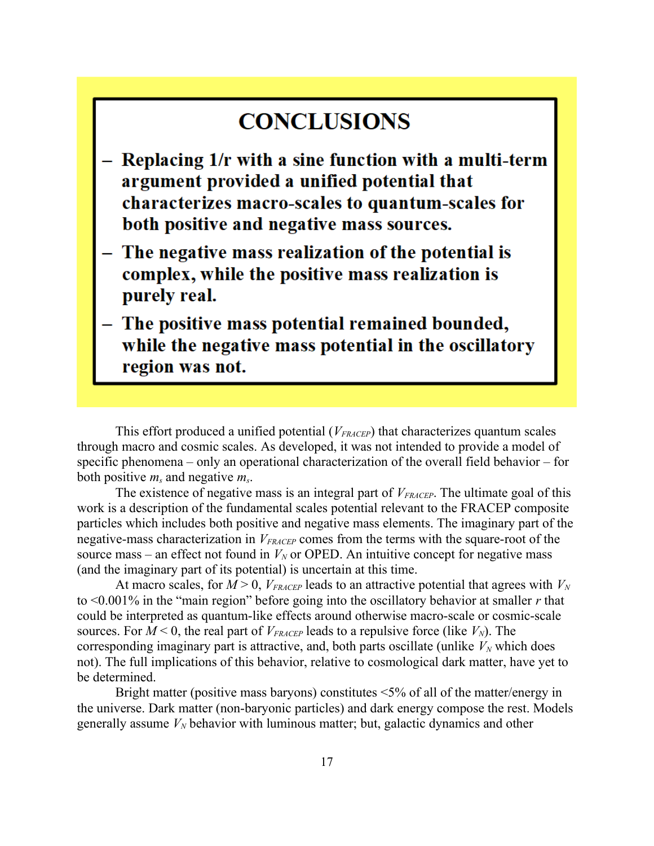### **CONCLUSIONS**

- $-$  Replacing  $1/r$  with a sine function with a multi-term argument provided a unified potential that characterizes macro-scales to quantum-scales for both positive and negative mass sources.
- The negative mass realization of the potential is complex, while the positive mass realization is purely real.
- The positive mass potential remained bounded, while the negative mass potential in the oscillatory region was not.

This effort produced a unified potential (*VFRACEP*) that characterizes quantum scales through macro and cosmic scales. As developed, it was not intended to provide a model of specific phenomena – only an operational characterization of the overall field behavior – for both positive *ms* and negative *ms*.

The existence of negative mass is an integral part of *VFRACEP*. The ultimate goal of this work is a description of the fundamental scales potential relevant to the FRACEP composite particles which includes both positive and negative mass elements. The imaginary part of the negative-mass characterization in  $V_{FRACEP}$  comes from the terms with the square-root of the source mass – an effect not found in  $V_N$  or OPED. An intuitive concept for negative mass (and the imaginary part of its potential) is uncertain at this time.

At macro scales, for  $M > 0$ ,  $V_{FRACEP}$  leads to an attractive potential that agrees with  $V_N$ to <0.001% in the "main region" before going into the oscillatory behavior at smaller *r* that could be interpreted as quantum-like effects around otherwise macro-scale or cosmic-scale sources. For  $M < 0$ , the real part of  $V_{FRACEP}$  leads to a repulsive force (like  $V_N$ ). The corresponding imaginary part is attractive, and, both parts oscillate (unlike  $V_N$  which does not). The full implications of this behavior, relative to cosmological dark matter, have yet to be determined.

Bright matter (positive mass baryons) constitutes <5% of all of the matter/energy in the universe. Dark matter (non-baryonic particles) and dark energy compose the rest. Models generally assume *VN* behavior with luminous matter; but, galactic dynamics and other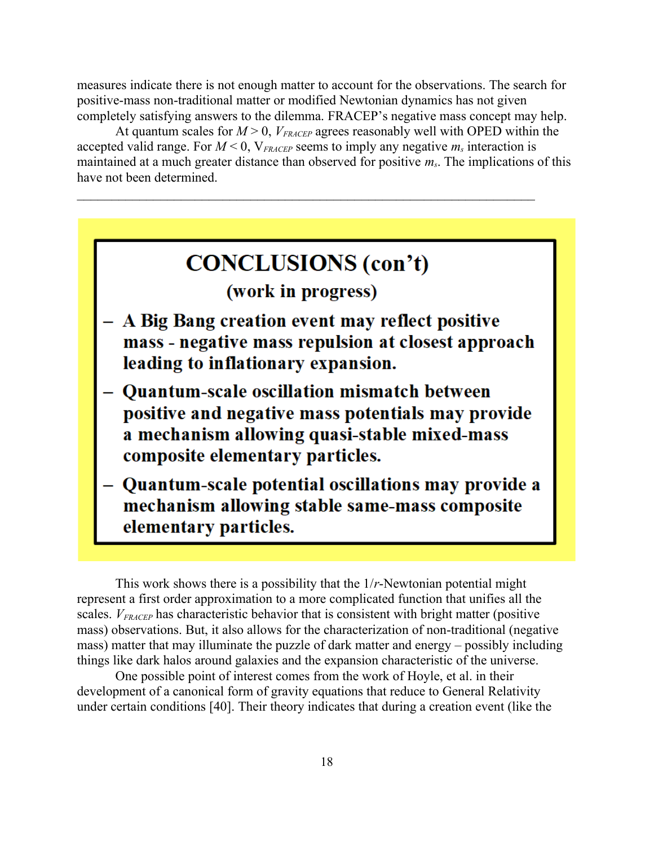measures indicate there is not enough matter to account for the observations. The search for positive-mass non-traditional matter or modified Newtonian dynamics has not given completely satisfying answers to the dilemma. FRACEP's negative mass concept may help.

At quantum scales for  $M > 0$ ,  $V_{\text{FRACEP}}$  agrees reasonably well with OPED within the accepted valid range. For  $M < 0$ ,  $V_{FRACEP}$  seems to imply any negative  $m_s$  interaction is maintained at a much greater distance than observed for positive *ms*. The implications of this have not been determined.



This work shows there is a possibility that the 1/*r*-Newtonian potential might represent a first order approximation to a more complicated function that unifies all the scales. *VFRACEP* has characteristic behavior that is consistent with bright matter (positive mass) observations. But, it also allows for the characterization of non-traditional (negative mass) matter that may illuminate the puzzle of dark matter and energy – possibly including things like dark halos around galaxies and the expansion characteristic of the universe.

One possible point of interest comes from the work of Hoyle, et al. in their development of a canonical form of gravity equations that reduce to General Relativity under certain conditions [40]. Their theory indicates that during a creation event (like the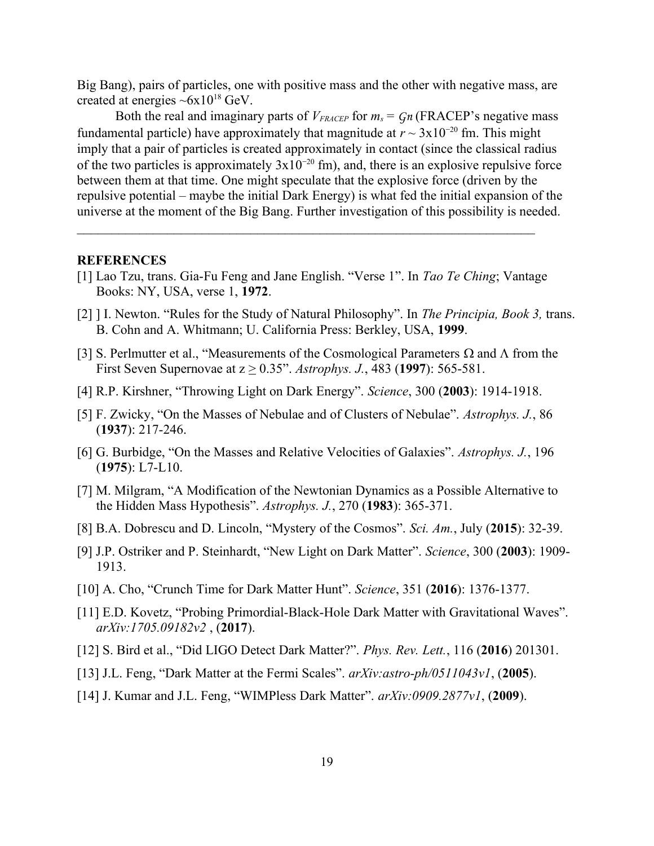Big Bang), pairs of particles, one with positive mass and the other with negative mass, are created at energies  $\sim 6x10^{18}$  GeV.

Both the real and imaginary parts of  $V_{\text{FRACEP}}$  for  $m_s = Gn$  (FRACEP's negative mass fundamental particle) have approximately that magnitude at  $r \sim 3x10^{-20}$  fm. This might imply that a pair of particles is created approximately in contact (since the classical radius of the two particles is approximately  $3x10^{-20}$  fm), and, there is an explosive repulsive force between them at that time. One might speculate that the explosive force (driven by the repulsive potential – maybe the initial Dark Energy) is what fed the initial expansion of the universe at the moment of the Big Bang. Further investigation of this possibility is needed.

#### **REFERENCES**

- [1] Lao Tzu, trans. Gia-Fu Feng and Jane English. "Verse 1". In *Tao Te Ching*; Vantage Books: NY, USA, verse 1, **1972**.
- [2] ] I. Newton. "Rules for the Study of Natural Philosophy". In *The Principia, Book 3,* trans. B. Cohn and A. Whitmann; U. California Press: Berkley, USA, **1999**.
- [3] S. Perlmutter et al., "Measurements of the Cosmological Parameters  $\Omega$  and  $\Lambda$  from the First Seven Supernovae at  $z \ge 0.35$ ". *Astrophys. J.*, 483 (1997): 565-581.
- [4] R.P. Kirshner, "Throwing Light on Dark Energy". *Science*, 300 (**2003**): 1914-1918.
- [5] F. Zwicky, "On the Masses of Nebulae and of Clusters of Nebulae". *Astrophys. J.*, 86 (**1937**): 217-246.
- [6] G. Burbidge, "On the Masses and Relative Velocities of Galaxies". *Astrophys. J.*, 196 (**1975**): L7-L10.
- [7] M. Milgram, "A Modification of the Newtonian Dynamics as a Possible Alternative to the Hidden Mass Hypothesis". *Astrophys. J.*, 270 (**1983**): 365-371.
- [8] B.A. Dobrescu and D. Lincoln, "Mystery of the Cosmos". *Sci. Am.*, July (**2015**): 32-39.
- [9] J.P. Ostriker and P. Steinhardt, "New Light on Dark Matter". *Science*, 300 (**2003**): 1909- 1913.
- [10] A. Cho, "Crunch Time for Dark Matter Hunt". *Science*, 351 (**2016**): 1376-1377.
- [11] E.D. Kovetz, "Probing Primordial-Black-Hole Dark Matter with Gravitational Waves". *arXiv:1705.09182v2* , (**2017**).
- [12] S. Bird et al., "Did LIGO Detect Dark Matter?". *Phys. Rev. Lett.*, 116 (**2016**) 201301.
- [13] J.L. Feng, "Dark Matter at the Fermi Scales". *arXiv:astro-ph/0511043v1*, (**2005**).
- [14] J. Kumar and J.L. Feng, "WIMPless Dark Matter". *arXiv:0909.2877v1*, (**2009**).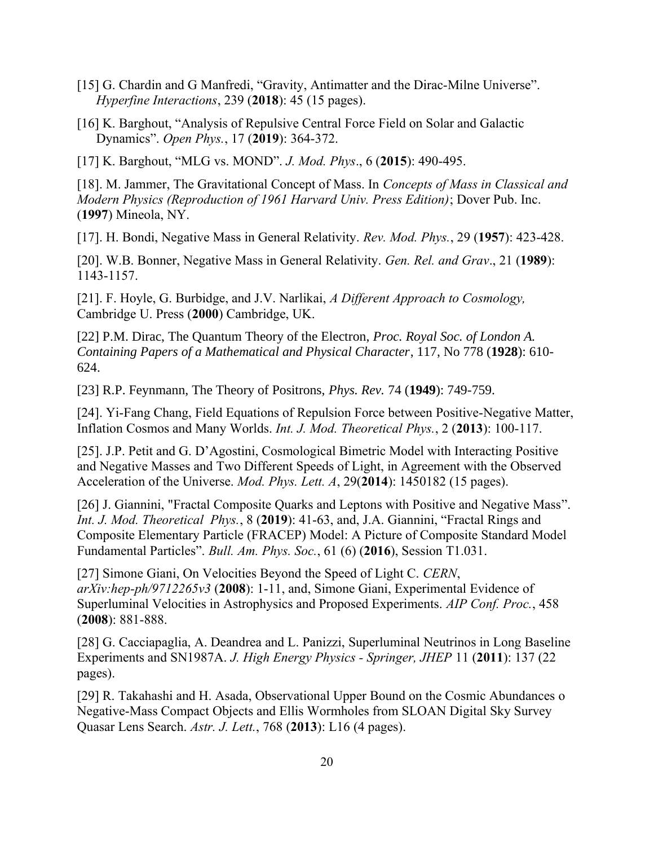- [15] G. Chardin and G Manfredi, "Gravity, Antimatter and the Dirac-Milne Universe". *Hyperfine Interactions*, 239 (**2018**): 45 (15 pages).
- [16] K. Barghout, "Analysis of Repulsive Central Force Field on Solar and Galactic Dynamics". *Open Phys.*, 17 (**2019**): 364-372.

[17] K. Barghout, "MLG vs. MOND". *J. Mod. Phys*., 6 (**2015**): 490-495.

[18]. M. Jammer, The Gravitational Concept of Mass. In *Concepts of Mass in Classical and Modern Physics (Reproduction of 1961 Harvard Univ. Press Edition)*; Dover Pub. Inc. (**1997**) Mineola, NY.

[17]. H. Bondi, Negative Mass in General Relativity. *Rev. Mod. Phys.*, 29 (**1957**): 423-428.

[20]. W.B. Bonner, Negative Mass in General Relativity. *Gen. Rel. and Grav*., 21 (**1989**): 1143-1157.

[21]. F. Hoyle, G. Burbidge, and J.V. Narlikai, *A Different Approach to Cosmology,* Cambridge U. Press (**2000**) Cambridge, UK.

[22] P.M. Dirac, The Quantum Theory of the Electron, *Proc. Royal Soc. of London A. Containing Papers of a Mathematical and Physical Character*, 117, No 778 (**1928**): 610- 624.

[23] R.P. Feynmann, The Theory of Positrons, *Phys. Rev.* 74 (**1949**): 749-759.

[24]. Yi-Fang Chang, Field Equations of Repulsion Force between Positive-Negative Matter, Inflation Cosmos and Many Worlds. *Int. J. Mod. Theoretical Phys.*, 2 (**2013**): 100-117.

[25]. J.P. Petit and G. D'Agostini, Cosmological Bimetric Model with Interacting Positive and Negative Masses and Two Different Speeds of Light, in Agreement with the Observed Acceleration of the Universe. *Mod. Phys. Lett. A*, 29(**2014**): 1450182 (15 pages).

[26] J. Giannini, "Fractal Composite Quarks and Leptons with Positive and Negative Mass". *Int. J. Mod. Theoretical Phys.*, 8 (**2019**): 41-63, and, J.A. Giannini, "Fractal Rings and Composite Elementary Particle (FRACEP) Model: A Picture of Composite Standard Model Fundamental Particles". *Bull. Am. Phys. Soc.*, 61 (6) (**2016**), Session T1.031.

[27] Simone Giani, On Velocities Beyond the Speed of Light C. *CERN*, *arXiv:hep-ph/9712265v3* (**2008**): 1-11, and, Simone Giani, Experimental Evidence of Superluminal Velocities in Astrophysics and Proposed Experiments. *AIP Conf. Proc.*, 458 (**2008**): 881-888.

[28] G. Cacciapaglia, A. Deandrea and L. Panizzi, Superluminal Neutrinos in Long Baseline Experiments and SN1987A. *J. High Energy Physics - Springer, JHEP* 11 (**2011**): 137 (22 pages).

[29] R. Takahashi and H. Asada, Observational Upper Bound on the Cosmic Abundances o Negative-Mass Compact Objects and Ellis Wormholes from SLOAN Digital Sky Survey Quasar Lens Search. *Astr. J. Lett.*, 768 (**2013**): L16 (4 pages).